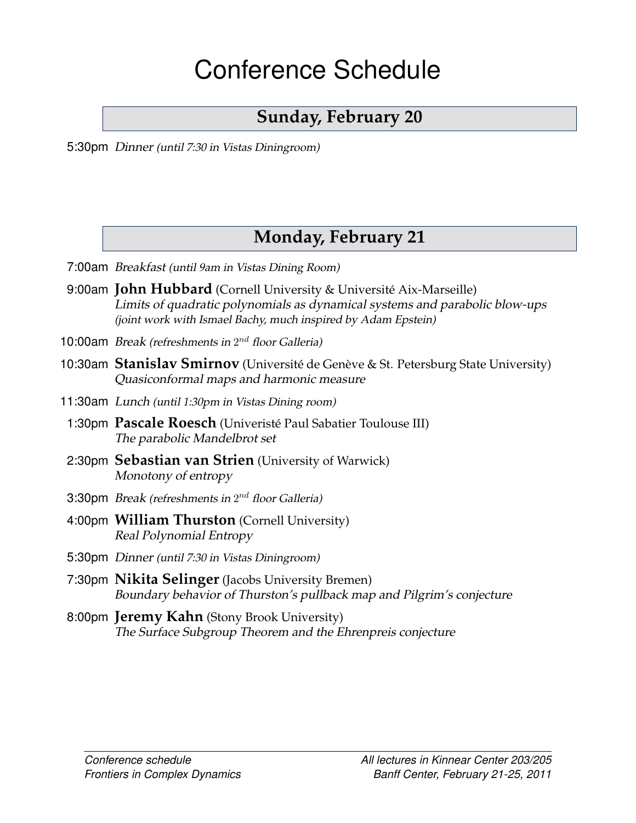# Conference Schedule

# **Sunday, February 20**

5:30pm *Dinner (until 7:30 in Vistas Diningroom)*

# <span id="page-0-1"></span>**Monday, February 21**

- 7:00am *Breakfast (until 9am in Vistas Dining Room)*
- 9:00am **John Hubbard** (Cornell University & Universite Aix-Marseille) ´ *[Limits of quadratic polynomials as dynamical systems and parabolic blow-ups](#page-4-0) [\(joint work with Ismael Bachy, much inspired by Adam Epstein\)](#page-4-0)*
- 10:00am *Break (refreshments in* 2nd *floor Galleria)*
- 10:30am Stanislav Smirnov (Université de Genève & St. Petersburg State University) *[Quasiconformal maps and harmonic measure](#page-8-0)*
- 11:30am *Lunch (until 1:30pm in Vistas Dining room)*
	- 1:30pm **Pascale Roesch** (Univeriste Paul Sabatier Toulouse III) ´ *[The parabolic Mandelbrot set](#page-6-0)*
	- 2:30pm **Sebastian van Strien** (University of Warwick) *[Monotony of entropy](#page-8-1)*
	- 3:30pm *Break (refreshments in* 2nd *floor Galleria)*
	- 4:00pm **William Thurston** (Cornell University) *[Real Polynomial Entropy](#page-9-0)*
	- 5:30pm *Dinner (until 7:30 in Vistas Diningroom)*
	- 7:30pm **Nikita Selinger** (Jacobs University Bremen) *[Boundary behavior of Thurston's pullback map and Pilgrim's conjecture](#page-6-1)*
- <span id="page-0-0"></span>8:00pm **Jeremy Kahn** (Stony Brook University) *[The Surface Subgroup Theorem and the Ehrenpreis conjecture](#page-5-0)*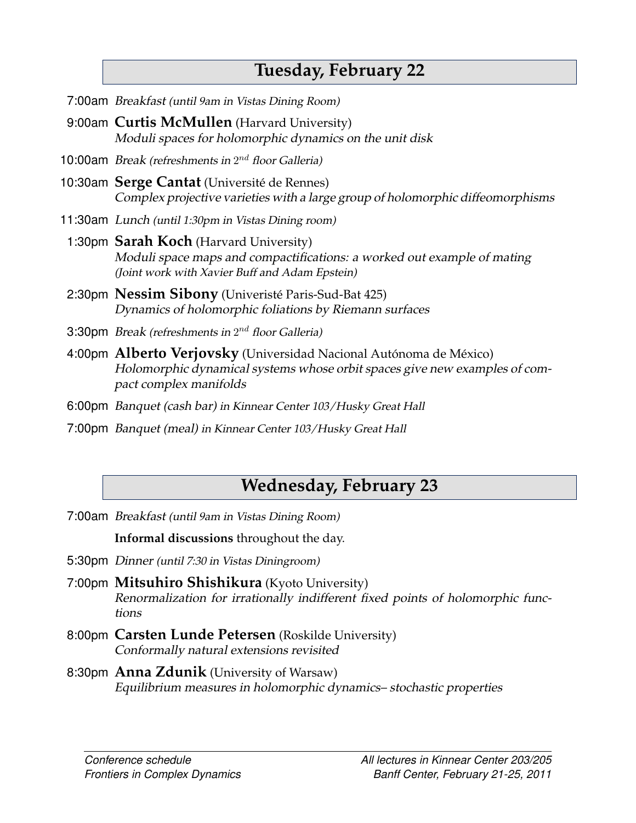## <span id="page-1-0"></span>**Tuesday, February 22**

- 7:00am *Breakfast (until 9am in Vistas Dining Room)*
- 9:00am **Curtis McMullen** (Harvard University) *Moduli spaces for holomorphic dynamics on the unit disk*
- 10:00am *Break (refreshments in* 2nd *floor Galleria)*
- 10:30am **Serge Cantat** (Universite de Rennes) ´ *[Complex projective varieties with a large group of holomorphic diffeomorphisms](#page-3-0)*
- 11:30am *Lunch (until 1:30pm in Vistas Dining room)*
- 1:30pm **Sarah Koch** (Harvard University) *[Moduli space maps and compactifications: a worked out example of mating](#page-5-1) [\(Joint work with Xavier Buff and Adam Epstein\)](#page-5-1)*
- 2:30pm **Nessim Sibony** (Univeriste Paris-Sud-Bat 425) ´ *[Dynamics of holomorphic foliations by Riemann surfaces](#page-7-0)*
- 3:30pm *Break (refreshments in* 2nd *floor Galleria)*
- 4:00pm **Alberto Verjovsky** (Universidad Nacional Autónoma de México) *[Holomorphic dynamical systems whose orbit spaces give new examples of com](#page-9-2)[pact complex manifolds](#page-9-2)*
- 6:00pm *Banquet (cash bar) in Kinnear Center 103/Husky Great Hall*
- 7:00pm *Banquet (meal) in Kinnear Center 103/Husky Great Hall*

#### <span id="page-1-1"></span>**Wednesday, February 23**

7:00am *Breakfast (until 9am in Vistas Dining Room)*

**Informal discussions** throughout the day.

- 5:30pm *Dinner (until 7:30 in Vistas Diningroom)*
- 7:00pm **Mitsuhiro Shishikura** (Kyoto University) *[Renormalization for irrationally indifferent fixed points of holomorphic func](#page-7-1)[tions](#page-7-1)*
- 8:00pm **Carsten Lunde Petersen** (Roskilde University) *[Conformally natural extensions revisited](#page-6-2)*
- 8:30pm **Anna Zdunik** (University of Warsaw) *[Equilibrium measures in holomorphic dynamics– stochastic properties](#page-9-1)*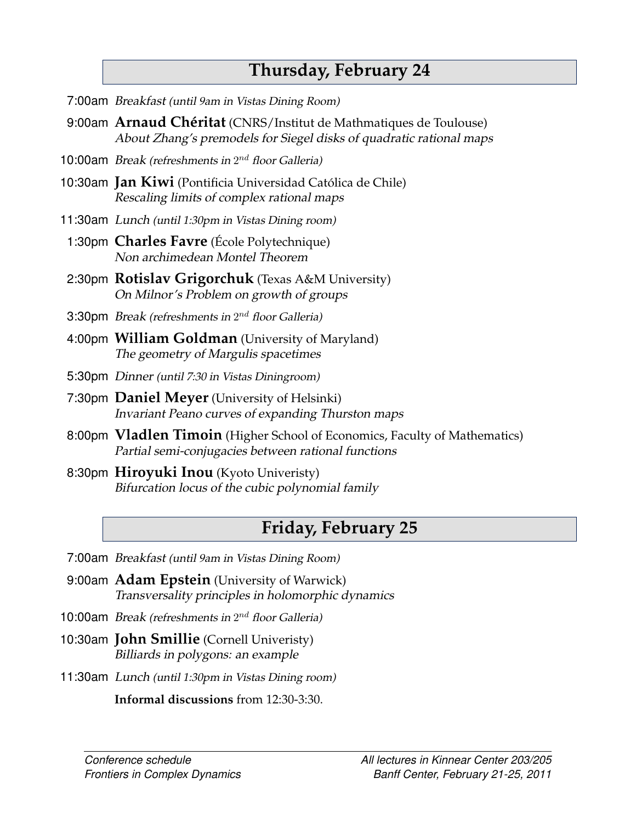## <span id="page-2-0"></span>**Thursday, February 24**

- 7:00am *Breakfast (until 9am in Vistas Dining Room)*
- 9:00am **Arnaud Chéritat** (CNRS/Institut de Mathmatiques de Toulouse) *About Zhang's premodels for Siegel disks of quadratic rational maps*
- 10:00am *Break (refreshments in* 2nd *floor Galleria)*
- 10:30am **Jan Kiwi** (Pontificia Universidad Catolica de Chile) ´ *[Rescaling limits of complex rational maps](#page-5-2)*
- 11:30am *Lunch (until 1:30pm in Vistas Dining room)*
	- 1:30pm **Charles Favre** (Ecole Polytechnique) ´ *[Non archimedean Montel Theorem](#page-3-1)*
	- 2:30pm **Rotislav Grigorchuk** (Texas A&M University) *On Milnor's Problem on growth of groups*
- 3:30pm *Break (refreshments in* 2nd *floor Galleria)*
- 4:00pm **William Goldman** (University of Maryland) *[The geometry of Margulis spacetimes](#page-4-1)*
- 5:30pm *Dinner (until 7:30 in Vistas Diningroom)*
- 7:30pm **Daniel Meyer** (University of Helsinki) *[Invariant Peano curves of expanding Thurston maps](#page-6-3)*
- 8:00pm **Vladlen Timoin** (Higher School of Economics, Faculty of Mathematics) *[Partial semi-conjugacies between rational functions](#page-0-0)*
- 8:30pm **Hiroyuki Inou** (Kyoto Univeristy) *[Bifurcation locus of the cubic polynomial family](#page-4-2)*

## <span id="page-2-1"></span>**Friday, February 25**

- 7:00am *Breakfast (until 9am in Vistas Dining Room)*
- 9:00am **Adam Epstein** (University of Warwick) *[Transversality principles in holomorphic dynamics](#page-3-2)*
- 10:00am *Break (refreshments in* 2nd *floor Galleria)*
- 10:30am **John Smillie** (Cornell Univeristy) *[Billiards in polygons: an example](#page-7-2)*
- 11:30am *Lunch (until 1:30pm in Vistas Dining room)*

**Informal discussions** from 12:30-3:30.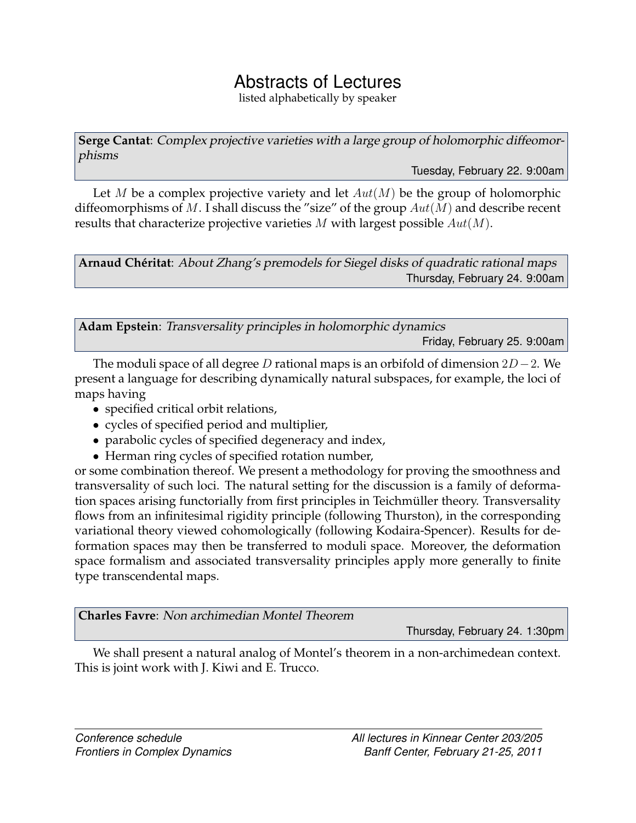#### Abstracts of Lectures

listed alphabetically by speaker

<span id="page-3-0"></span>**Serge Cantat**: *Complex projective varieties with a large group of holomorphic diffeomorphisms*

[Tuesday, February 22.](#page-1-0) 9:00am

Let M be a complex projective variety and let  $Aut(M)$  be the group of holomorphic diffeomorphisms of M. I shall discuss the "size" of the group  $Aut(M)$  and describe recent results that characterize projective varieties  $M$  with largest possible  $Aut(M)$ .

**Arnaud Ch´eritat**: *About Zhang's premodels for Siegel disks of quadratic rational maps* [Thursday, February 24.](#page-2-0) 9:00am

<span id="page-3-2"></span>**Adam Epstein**: *Transversality principles in holomorphic dynamics* [Friday, February 25.](#page-2-1) 9:00am

The moduli space of all degree D rational maps is an orbifold of dimension  $2D-2$ . We present a language for describing dynamically natural subspaces, for example, the loci of maps having

- specified critical orbit relations,
- cycles of specified period and multiplier,
- parabolic cycles of specified degeneracy and index,
- Herman ring cycles of specified rotation number,

or some combination thereof. We present a methodology for proving the smoothness and transversality of such loci. The natural setting for the discussion is a family of deformation spaces arising functorially from first principles in Teichmüller theory. Transversality flows from an infinitesimal rigidity principle (following Thurston), in the corresponding variational theory viewed cohomologically (following Kodaira-Spencer). Results for deformation spaces may then be transferred to moduli space. Moreover, the deformation space formalism and associated transversality principles apply more generally to finite type transcendental maps.

<span id="page-3-1"></span>**Charles Favre**: *Non archimedian Montel Theorem*

[Thursday, February 24.](#page-2-0) 1:30pm

We shall present a natural analog of Montel's theorem in a non-archimedean context. This is joint work with J. Kiwi and E. Trucco.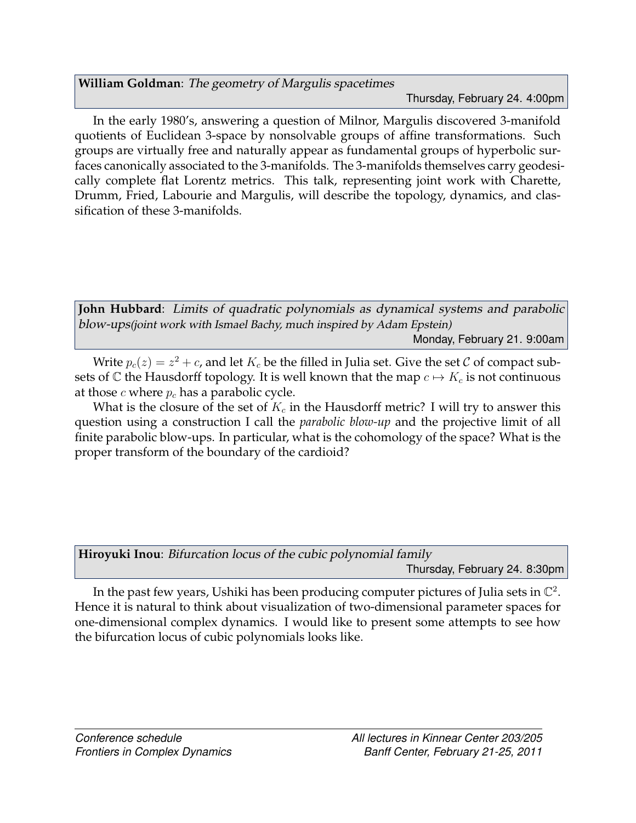<span id="page-4-1"></span>**William Goldman**: *The geometry of Margulis spacetimes*

[Thursday, February 24.](#page-2-0) 4:00pm

In the early 1980's, answering a question of Milnor, Margulis discovered 3-manifold quotients of Euclidean 3-space by nonsolvable groups of affine transformations. Such groups are virtually free and naturally appear as fundamental groups of hyperbolic surfaces canonically associated to the 3-manifolds. The 3-manifolds themselves carry geodesically complete flat Lorentz metrics. This talk, representing joint work with Charette, Drumm, Fried, Labourie and Margulis, will describe the topology, dynamics, and classification of these 3-manifolds.

<span id="page-4-0"></span>**John Hubbard**: *Limits of quadratic polynomials as dynamical systems and parabolic blow-ups(joint work with Ismael Bachy, much inspired by Adam Epstein)* [Monday, February 21.](#page-0-1) 9:00am

Write  $p_c(z) = z^2 + c$ , and let  $K_c$  be the filled in Julia set. Give the set C of compact subsets of C the Hausdorff topology. It is well known that the map  $c \mapsto K_c$  is not continuous at those c where  $p_c$  has a parabolic cycle.

What is the closure of the set of  $K_c$  in the Hausdorff metric? I will try to answer this question using a construction I call the *parabolic blow-up* and the projective limit of all finite parabolic blow-ups. In particular, what is the cohomology of the space? What is the proper transform of the boundary of the cardioid?

<span id="page-4-2"></span>

| Hiroyuki Inou: Bifurcation locus of the cubic polynomial family |                               |  |  |
|-----------------------------------------------------------------|-------------------------------|--|--|
|                                                                 | Thursday, February 24. 8:30pm |  |  |

In the past few years, Ushiki has been producing computer pictures of Julia sets in  $\mathbb{C}^2$ . Hence it is natural to think about visualization of two-dimensional parameter spaces for one-dimensional complex dynamics. I would like to present some attempts to see how the bifurcation locus of cubic polynomials looks like.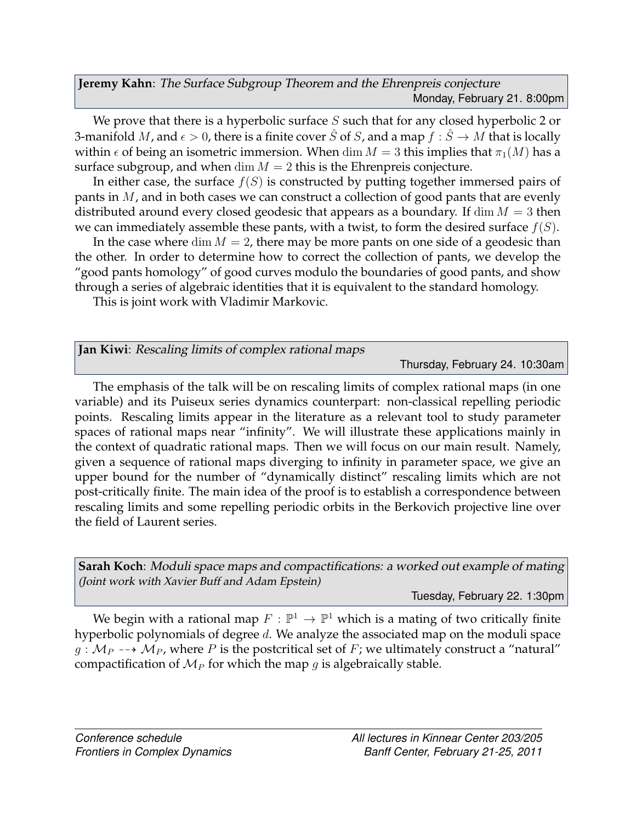<span id="page-5-0"></span>**Jeremy Kahn**: *The Surface Subgroup Theorem and the Ehrenpreis conjecture* [Monday, February 21.](#page-0-1) 8:00pm

We prove that there is a hyperbolic surface  $S$  such that for any closed hyperbolic 2 or 3-manifold M, and  $\epsilon > 0$ , there is a finite cover  $\hat{S}$  of S, and a map  $f : \hat{S} \to M$  that is locally within  $\epsilon$  of being an isometric immersion. When dim  $M = 3$  this implies that  $\pi_1(M)$  has a surface subgroup, and when  $\dim M = 2$  this is the Ehrenpreis conjecture.

In either case, the surface  $f(S)$  is constructed by putting together immersed pairs of pants in M, and in both cases we can construct a collection of good pants that are evenly distributed around every closed geodesic that appears as a boundary. If  $\dim M = 3$  then we can immediately assemble these pants, with a twist, to form the desired surface  $f(S)$ .

In the case where  $\dim M = 2$ , there may be more pants on one side of a geodesic than the other. In order to determine how to correct the collection of pants, we develop the "good pants homology" of good curves modulo the boundaries of good pants, and show through a series of algebraic identities that it is equivalent to the standard homology.

This is joint work with Vladimir Markovic.

<span id="page-5-2"></span>

|  |  |  |  | Jan Kiwi: Rescaling limits of complex rational maps |
|--|--|--|--|-----------------------------------------------------|
|--|--|--|--|-----------------------------------------------------|

[Thursday, February 24.](#page-2-0) 10:30am

The emphasis of the talk will be on rescaling limits of complex rational maps (in one variable) and its Puiseux series dynamics counterpart: non-classical repelling periodic points. Rescaling limits appear in the literature as a relevant tool to study parameter spaces of rational maps near "infinity". We will illustrate these applications mainly in the context of quadratic rational maps. Then we will focus on our main result. Namely, given a sequence of rational maps diverging to infinity in parameter space, we give an upper bound for the number of "dynamically distinct" rescaling limits which are not post-critically finite. The main idea of the proof is to establish a correspondence between rescaling limits and some repelling periodic orbits in the Berkovich projective line over the field of Laurent series.

<span id="page-5-1"></span>**Sarah Koch**: *Moduli space maps and compactifications: a worked out example of mating (Joint work with Xavier Buff and Adam Epstein)*

[Tuesday, February 22.](#page-1-0) 1:30pm

We begin with a rational map  $F : \mathbb{P}^1 \to \mathbb{P}^1$  which is a mating of two critically finite hyperbolic polynomials of degree d. We analyze the associated map on the moduli space  $g : M_P \dashrightarrow M_P$ , where P is the postcritical set of F; we ultimately construct a "natural" compactification of  $M_P$  for which the map g is algebraically stable.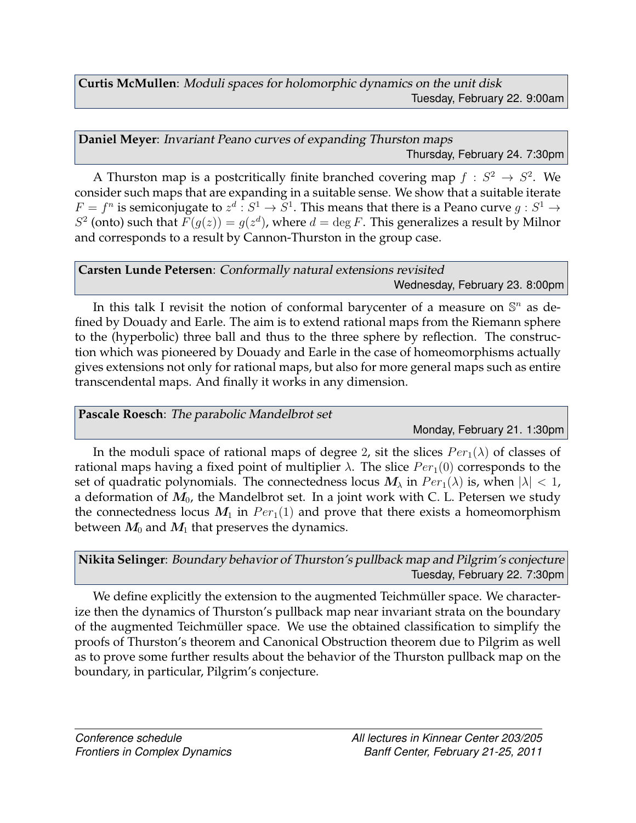**Curtis McMullen**: *Moduli spaces for holomorphic dynamics on the unit disk* [Tuesday, February 22.](#page-1-0) 9:00am

<span id="page-6-3"></span>**Daniel Meyer**: *Invariant Peano curves of expanding Thurston maps* [Thursday, February 24.](#page-2-0) 7:30pm

A Thurston map is a postcritically finite branched covering map  $f : S^2 \to S^2$ . We consider such maps that are expanding in a suitable sense. We show that a suitable iterate  $F = f^n$  is semiconjugate to  $z^d : S^1 \to S^1$ . This means that there is a Peano curve  $g : S^1 \to S^1$  $S^2$  (onto) such that  $F(g(z)) = g(z^d)$ , where  $d = \deg F$ . This generalizes a result by Milnor and corresponds to a result by Cannon-Thurston in the group case.

<span id="page-6-2"></span>**Carsten Lunde Petersen**: *Conformally natural extensions revisited* [Wednesday, February 23.](#page-1-1) 8:00pm

In this talk I revisit the notion of conformal barycenter of a measure on  $\mathbb{S}^n$  as defined by Douady and Earle. The aim is to extend rational maps from the Riemann sphere to the (hyperbolic) three ball and thus to the three sphere by reflection. The construction which was pioneered by Douady and Earle in the case of homeomorphisms actually gives extensions not only for rational maps, but also for more general maps such as entire transcendental maps. And finally it works in any dimension.

<span id="page-6-0"></span>**Pascale Roesch**: *The parabolic Mandelbrot set*

[Monday, February 21.](#page-0-1) 1:30pm

In the moduli space of rational maps of degree 2, sit the slices  $Per_1(\lambda)$  of classes of rational maps having a fixed point of multiplier  $\lambda$ . The slice  $Per_1(0)$  corresponds to the set of quadratic polynomials. The connectedness locus  $M_{\lambda}$  in  $Per_1(\lambda)$  is, when  $|\lambda| < 1$ , a deformation of  $M_0$ , the Mandelbrot set. In a joint work with C. L. Petersen we study the connectedness locus  $M_1$  in  $Per_1(1)$  and prove that there exists a homeomorphism between  $M_0$  and  $M_1$  that preserves the dynamics.

<span id="page-6-1"></span>**Nikita Selinger**: *Boundary behavior of Thurston's pullback map and Pilgrim's conjecture* [Tuesday, February 22.](#page-1-0) 7:30pm

We define explicitly the extension to the augmented Teichmüller space. We characterize then the dynamics of Thurston's pullback map near invariant strata on the boundary of the augmented Teichmüller space. We use the obtained classification to simplify the proofs of Thurston's theorem and Canonical Obstruction theorem due to Pilgrim as well as to prove some further results about the behavior of the Thurston pullback map on the boundary, in particular, Pilgrim's conjecture.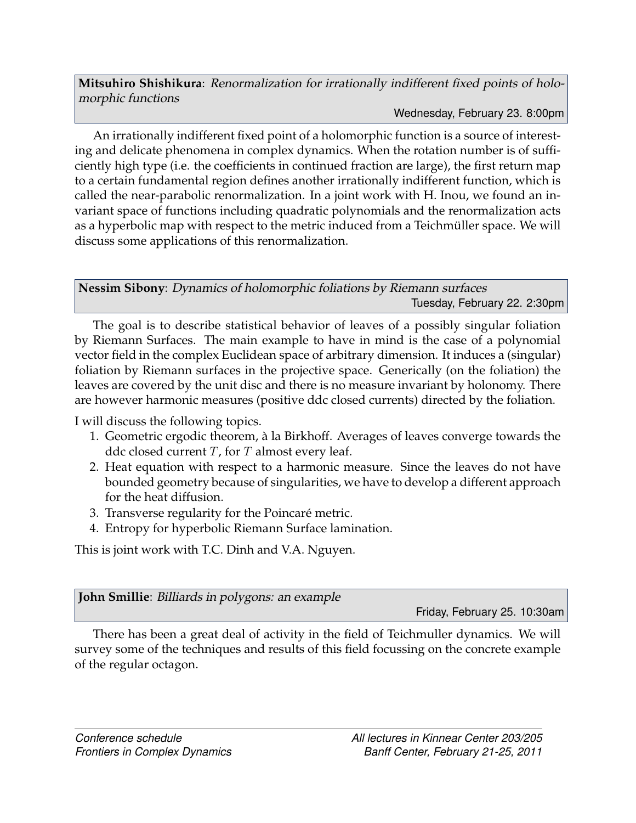<span id="page-7-1"></span>**Mitsuhiro Shishikura**: *Renormalization for irrationally indifferent fixed points of holomorphic functions*

[Wednesday, February 23.](#page-1-1) 8:00pm

An irrationally indifferent fixed point of a holomorphic function is a source of interesting and delicate phenomena in complex dynamics. When the rotation number is of sufficiently high type (i.e. the coefficients in continued fraction are large), the first return map to a certain fundamental region defines another irrationally indifferent function, which is called the near-parabolic renormalization. In a joint work with H. Inou, we found an invariant space of functions including quadratic polynomials and the renormalization acts as a hyperbolic map with respect to the metric induced from a Teichmüller space. We will discuss some applications of this renormalization.

<span id="page-7-0"></span>**Nessim Sibony**: *Dynamics of holomorphic foliations by Riemann surfaces* [Tuesday, February 22.](#page-1-0) 2:30pm

The goal is to describe statistical behavior of leaves of a possibly singular foliation by Riemann Surfaces. The main example to have in mind is the case of a polynomial vector field in the complex Euclidean space of arbitrary dimension. It induces a (singular) foliation by Riemann surfaces in the projective space. Generically (on the foliation) the leaves are covered by the unit disc and there is no measure invariant by holonomy. There are however harmonic measures (positive ddc closed currents) directed by the foliation.

I will discuss the following topics.

- 1. Geometric ergodic theorem, a la Birkhoff. Averages of leaves converge towards the ` ddc closed current  $T$ , for  $T$  almost every leaf.
- 2. Heat equation with respect to a harmonic measure. Since the leaves do not have bounded geometry because of singularities, we have to develop a different approach for the heat diffusion.
- 3. Transverse regularity for the Poincaré metric.
- 4. Entropy for hyperbolic Riemann Surface lamination.

This is joint work with T.C. Dinh and V.A. Nguyen.

<span id="page-7-2"></span>**John Smillie**: *Billiards in polygons: an example*

[Friday, February 25.](#page-2-1) 10:30am

There has been a great deal of activity in the field of Teichmuller dynamics. We will survey some of the techniques and results of this field focussing on the concrete example of the regular octagon.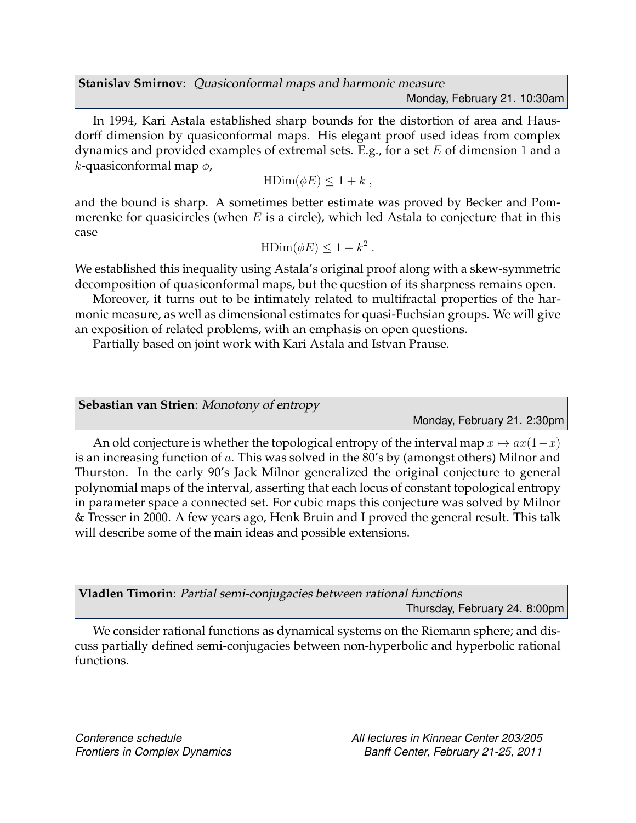<span id="page-8-0"></span>**Stanislav Smirnov**: *Quasiconformal maps and harmonic measure* [Monday, February 21.](#page-0-1) 10:30am

In 1994, Kari Astala established sharp bounds for the distortion of area and Hausdorff dimension by quasiconformal maps. His elegant proof used ideas from complex dynamics and provided examples of extremal sets. E.g., for a set  $E$  of dimension 1 and a k-quasiconformal map  $\phi$ ,

$$
\mathrm{HDim}(\phi E)\leq 1+k\;,
$$

and the bound is sharp. A sometimes better estimate was proved by Becker and Pommerenke for quasicircles (when  $E$  is a circle), which led Astala to conjecture that in this case

$$
\mathrm{HDim}(\phi E) \le 1 + k^2 \, .
$$

We established this inequality using Astala's original proof along with a skew-symmetric decomposition of quasiconformal maps, but the question of its sharpness remains open.

Moreover, it turns out to be intimately related to multifractal properties of the harmonic measure, as well as dimensional estimates for quasi-Fuchsian groups. We will give an exposition of related problems, with an emphasis on open questions.

Partially based on joint work with Kari Astala and Istvan Prause.

<span id="page-8-1"></span>**Sebastian van Strien**: *Monotony of entropy*

[Monday, February 21.](#page-0-1) 2:30pm

An old conjecture is whether the topological entropy of the interval map  $x \mapsto ax(1-x)$ is an increasing function of a. This was solved in the 80's by (amongst others) Milnor and Thurston. In the early 90's Jack Milnor generalized the original conjecture to general polynomial maps of the interval, asserting that each locus of constant topological entropy in parameter space a connected set. For cubic maps this conjecture was solved by Milnor & Tresser in 2000. A few years ago, Henk Bruin and I proved the general result. This talk will describe some of the main ideas and possible extensions.

| Vladlen Timorin: Partial semi-conjugacies between rational functions |                               |  |  |
|----------------------------------------------------------------------|-------------------------------|--|--|
|                                                                      | Thursday, February 24. 8:00pm |  |  |

We consider rational functions as dynamical systems on the Riemann sphere; and discuss partially defined semi-conjugacies between non-hyperbolic and hyperbolic rational functions.